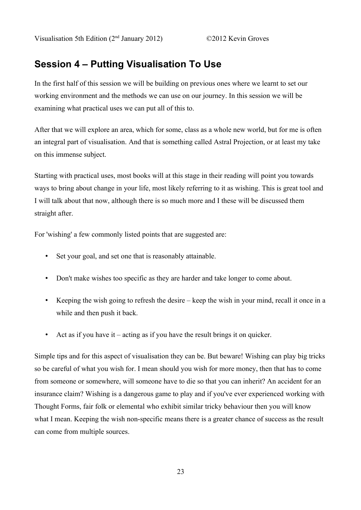# **Session 4 – Putting Visualisation To Use**

In the first half of this session we will be building on previous ones where we learnt to set our working environment and the methods we can use on our journey. In this session we will be examining what practical uses we can put all of this to.

After that we will explore an area, which for some, class as a whole new world, but for me is often an integral part of visualisation. And that is something called Astral Projection, or at least my take on this immense subject.

Starting with practical uses, most books will at this stage in their reading will point you towards ways to bring about change in your life, most likely referring to it as wishing. This is great tool and I will talk about that now, although there is so much more and I these will be discussed them straight after.

For 'wishing' a few commonly listed points that are suggested are:

- Set your goal, and set one that is reasonably attainable.
- Don't make wishes too specific as they are harder and take longer to come about.
- Keeping the wish going to refresh the desire keep the wish in your mind, recall it once in a while and then push it back.
- Act as if you have it acting as if you have the result brings it on quicker.

Simple tips and for this aspect of visualisation they can be. But beware! Wishing can play big tricks so be careful of what you wish for. I mean should you wish for more money, then that has to come from someone or somewhere, will someone have to die so that you can inherit? An accident for an insurance claim? Wishing is a dangerous game to play and if you've ever experienced working with Thought Forms, fair folk or elemental who exhibit similar tricky behaviour then you will know what I mean. Keeping the wish non-specific means there is a greater chance of success as the result can come from multiple sources.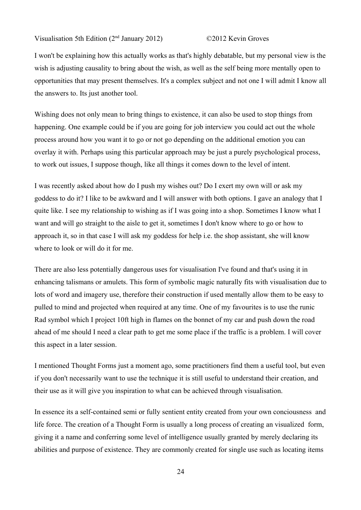I won't be explaining how this actually works as that's highly debatable, but my personal view is the wish is adjusting causality to bring about the wish, as well as the self being more mentally open to opportunities that may present themselves. It's a complex subject and not one I will admit I know all the answers to. Its just another tool.

Wishing does not only mean to bring things to existence, it can also be used to stop things from happening. One example could be if you are going for job interview you could act out the whole process around how you want it to go or not go depending on the additional emotion you can overlay it with. Perhaps using this particular approach may be just a purely psychological process, to work out issues, I suppose though, like all things it comes down to the level of intent.

I was recently asked about how do I push my wishes out? Do I exert my own will or ask my goddess to do it? I like to be awkward and I will answer with both options. I gave an analogy that I quite like. I see my relationship to wishing as if I was going into a shop. Sometimes I know what I want and will go straight to the aisle to get it, sometimes I don't know where to go or how to approach it, so in that case I will ask my goddess for help i.e. the shop assistant, she will know where to look or will do it for me.

There are also less potentially dangerous uses for visualisation I've found and that's using it in enhancing talismans or amulets. This form of symbolic magic naturally fits with visualisation due to lots of word and imagery use, therefore their construction if used mentally allow them to be easy to pulled to mind and projected when required at any time. One of my favourites is to use the runic Rad symbol which I project 10ft high in flames on the bonnet of my car and push down the road ahead of me should I need a clear path to get me some place if the traffic is a problem. I will cover this aspect in a later session.

I mentioned Thought Forms just a moment ago, some practitioners find them a useful tool, but even if you don't necessarily want to use the technique it is still useful to understand their creation, and their use as it will give you inspiration to what can be achieved through visualisation.

In essence its a self-contained semi or fully sentient entity created from your own conciousness and life force. The creation of a Thought Form is usually a long process of creating an visualized form, giving it a name and conferring some level of intelligence usually granted by merely declaring its abilities and purpose of existence. They are commonly created for single use such as locating items

24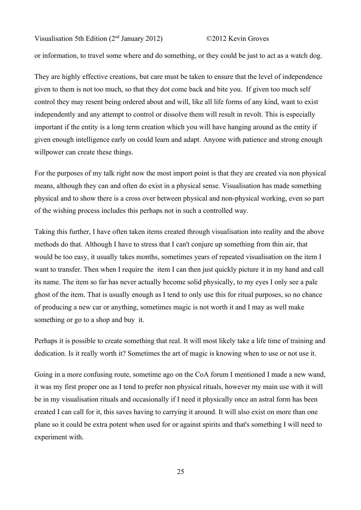or information, to travel some where and do something, or they could be just to act as a watch dog.

They are highly effective creations, but care must be taken to ensure that the level of independence given to them is not too much, so that they dot come back and bite you. If given too much self control they may resent being ordered about and will, like all life forms of any kind, want to exist independently and any attempt to control or dissolve them will result in revolt. This is especially important if the entity is a long term creation which you will have hanging around as the entity if given enough intelligence early on could learn and adapt. Anyone with patience and strong enough willpower can create these things.

For the purposes of my talk right now the most import point is that they are created via non physical means, although they can and often do exist in a physical sense. Visualisation has made something physical and to show there is a cross over between physical and non-physical working, even so part of the wishing process includes this perhaps not in such a controlled way.

Taking this further, I have often taken items created through visualisation into reality and the above methods do that. Although I have to stress that I can't conjure up something from thin air, that would be too easy, it usually takes months, sometimes years of repeated visualisation on the item I want to transfer. Then when I require the item I can then just quickly picture it in my hand and call its name. The item so far has never actually become solid physically, to my eyes I only see a pale ghost of the item. That is usually enough as I tend to only use this for ritual purposes, so no chance of producing a new car or anything, sometimes magic is not worth it and I may as well make something or go to a shop and buy it.

Perhaps it is possible to create something that real. It will most likely take a life time of training and dedication. Is it really worth it? Sometimes the art of magic is knowing when to use or not use it.

Going in a more confusing route, sometime ago on the CoA forum I mentioned I made a new wand, it was my first proper one as I tend to prefer non physical rituals, however my main use with it will be in my visualisation rituals and occasionally if I need it physically once an astral form has been created I can call for it, this saves having to carrying it around. It will also exist on more than one plane so it could be extra potent when used for or against spirits and that's something I will need to experiment with.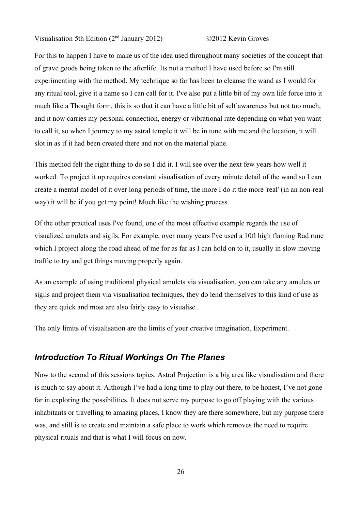For this to happen I have to make us of the idea used throughout many societies of the concept that of grave goods being taken to the afterlife. Its not a method I have used before so I'm still experimenting with the method. My technique so far has been to cleanse the wand as I would for any ritual tool, give it a name so I can call for it. I've also put a little bit of my own life force into it much like a Thought form, this is so that it can have a little bit of self awareness but not too much, and it now carries my personal connection, energy or vibrational rate depending on what you want to call it, so when I journey to my astral temple it will be in tune with me and the location, it will slot in as if it had been created there and not on the material plane.

This method felt the right thing to do so I did it. I will see over the next few years how well it worked. To project it up requires constant visualisation of every minute detail of the wand so I can create a mental model of it over long periods of time, the more I do it the more 'real' (in an non-real way) it will be if you get my point! Much like the wishing process.

Of the other practical uses I've found, one of the most effective example regards the use of visualized amulets and sigils. For example, over many years I've used a 10ft high flaming Rad rune which I project along the road ahead of me for as far as I can hold on to it, usually in slow moving traffic to try and get things moving properly again.

As an example of using traditional physical amulets via visualisation, you can take any amulets or sigils and project them via visualisation techniques, they do lend themselves to this kind of use as they are quick and most are also fairly easy to visualise.

The only limits of visualisation are the limits of your creative imagination. Experiment.

### *Introduction To Ritual Workings On The Planes*

Now to the second of this sessions topics. Astral Projection is a big area like visualisation and there is much to say about it. Although I've had a long time to play out there, to be honest, I've not gone far in exploring the possibilities. It does not serve my purpose to go off playing with the various inhabitants or travelling to amazing places, I know they are there somewhere, but my purpose there was, and still is to create and maintain a safe place to work which removes the need to require physical rituals and that is what I will focus on now.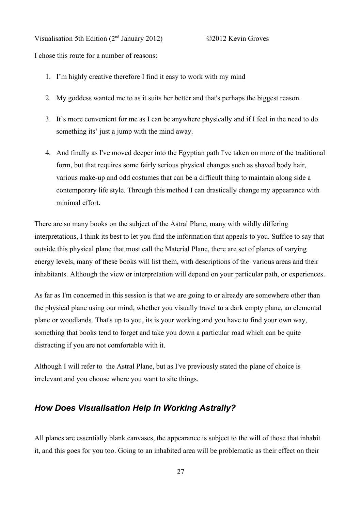Visualisation 5th Edition (2nd January 2012) ©2012 Kevin Groves I chose this route for a number of reasons:

- 1. I'm highly creative therefore I find it easy to work with my mind
- 2. My goddess wanted me to as it suits her better and that's perhaps the biggest reason.
- 3. It's more convenient for me as I can be anywhere physically and if I feel in the need to do something its' just a jump with the mind away.
- 4. And finally as I've moved deeper into the Egyptian path I've taken on more of the traditional form, but that requires some fairly serious physical changes such as shaved body hair, various make-up and odd costumes that can be a difficult thing to maintain along side a contemporary life style. Through this method I can drastically change my appearance with minimal effort.

There are so many books on the subject of the Astral Plane, many with wildly differing interpretations, I think its best to let you find the information that appeals to you. Suffice to say that outside this physical plane that most call the Material Plane, there are set of planes of varying energy levels, many of these books will list them, with descriptions of the various areas and their inhabitants. Although the view or interpretation will depend on your particular path, or experiences.

As far as I'm concerned in this session is that we are going to or already are somewhere other than the physical plane using our mind, whether you visually travel to a dark empty plane, an elemental plane or woodlands. That's up to you, its is your working and you have to find your own way, something that books tend to forget and take you down a particular road which can be quite distracting if you are not comfortable with it.

Although I will refer to the Astral Plane, but as I've previously stated the plane of choice is irrelevant and you choose where you want to site things.

## *How Does Visualisation Help In Working Astrally?*

All planes are essentially blank canvases, the appearance is subject to the will of those that inhabit it, and this goes for you too. Going to an inhabited area will be problematic as their effect on their